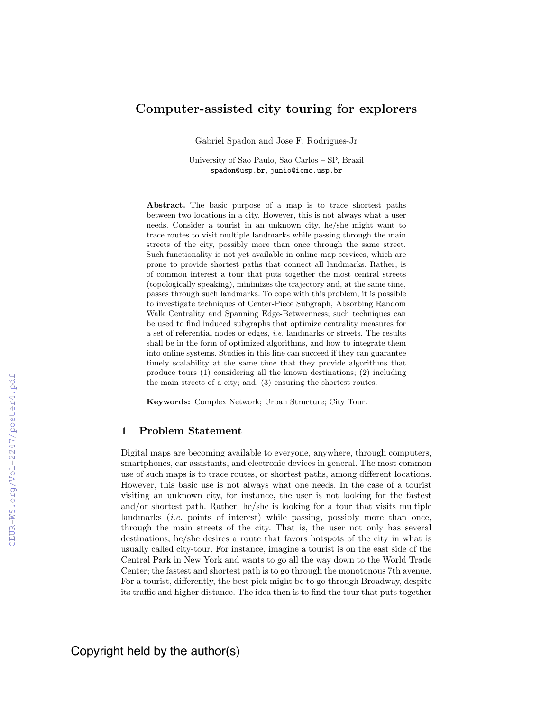# Computer-assisted city touring for explorers

Gabriel Spadon and Jose F. Rodrigues-Jr

University of Sao Paulo, Sao Carlos – SP, Brazil spadon@usp.br, junio@icmc.usp.br

Abstract. The basic purpose of a map is to trace shortest paths between two locations in a city. However, this is not always what a user needs. Consider a tourist in an unknown city, he/she might want to trace routes to visit multiple landmarks while passing through the main streets of the city, possibly more than once through the same street. Such functionality is not yet available in online map services, which are prone to provide shortest paths that connect all landmarks. Rather, is of common interest a tour that puts together the most central streets (topologically speaking), minimizes the trajectory and, at the same time, passes through such landmarks. To cope with this problem, it is possible to investigate techniques of Center-Piece Subgraph, Absorbing Random Walk Centrality and Spanning Edge-Betweenness; such techniques can be used to find induced subgraphs that optimize centrality measures for a set of referential nodes or edges, i.e. landmarks or streets. The results shall be in the form of optimized algorithms, and how to integrate them into online systems. Studies in this line can succeed if they can guarantee timely scalability at the same time that they provide algorithms that produce tours (1) considering all the known destinations; (2) including the main streets of a city; and, (3) ensuring the shortest routes.

Keywords: Complex Network; Urban Structure; City Tour.

#### 1 Problem Statement

Digital maps are becoming available to everyone, anywhere, through computers, smartphones, car assistants, and electronic devices in general. The most common use of such maps is to trace routes, or shortest paths, among different locations. However, this basic use is not always what one needs. In the case of a tourist visiting an unknown city, for instance, the user is not looking for the fastest and/or shortest path. Rather, he/she is looking for a tour that visits multiple landmarks *(i.e.* points of interest) while passing, possibly more than once, through the main streets of the city. That is, the user not only has several destinations, he/she desires a route that favors hotspots of the city in what is usually called city-tour. For instance, imagine a tourist is on the east side of the Central Park in New York and wants to go all the way down to the World Trade Center; the fastest and shortest path is to go through the monotonous 7th avenue. For a tourist, differently, the best pick might be to go through Broadway, despite its traffic and higher distance. The idea then is to find the tour that puts together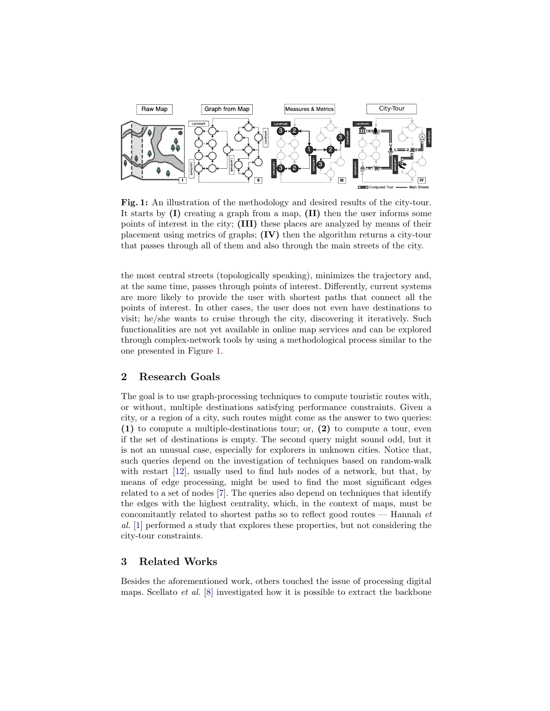<span id="page-1-0"></span>

Fig. 1: An illustration of the methodology and desired results of the city-tour. It starts by  $(I)$  creating a graph from a map,  $(II)$  then the user informs some points of interest in the city; (III) these places are analyzed by means of their placement using metrics of graphs; (IV) then the algorithm returns a city-tour that passes through all of them and also through the main streets of the city.

the most central streets (topologically speaking), minimizes the trajectory and, at the same time, passes through points of interest. Differently, current systems are more likely to provide the user with shortest paths that connect all the points of interest. In other cases, the user does not even have destinations to visit; he/she wants to cruise through the city, discovering it iteratively. Such functionalities are not yet available in online map services and can be explored through complex-network tools by using a methodological process similar to the one presented in Figure [1.](#page-1-0)

## <span id="page-1-1"></span>2 Research Goals

The goal is to use graph-processing techniques to compute touristic routes with, or without, multiple destinations satisfying performance constraints. Given a city, or a region of a city, such routes might come as the answer to two queries: (1) to compute a multiple-destinations tour; or, (2) to compute a tour, even if the set of destinations is empty. The second query might sound odd, but it is not an unusual case, especially for explorers in unknown cities. Notice that, such queries depend on the investigation of techniques based on random-walk with restart [\[12\]](#page-5-0), usually used to find hub nodes of a network, but that, by means of edge processing, might be used to find the most significant edges related to a set of nodes [\[7\]](#page-5-1). The queries also depend on techniques that identify the edges with the highest centrality, which, in the context of maps, must be concomitantly related to shortest paths so to reflect good routes  $-$  Hannah  $et$ al. [\[1\]](#page-5-2) performed a study that explores these properties, but not considering the city-tour constraints.

## 3 Related Works

Besides the aforementioned work, others touched the issue of processing digital maps. Scellato *et al.* [\[8\]](#page-5-3) investigated how it is possible to extract the backbone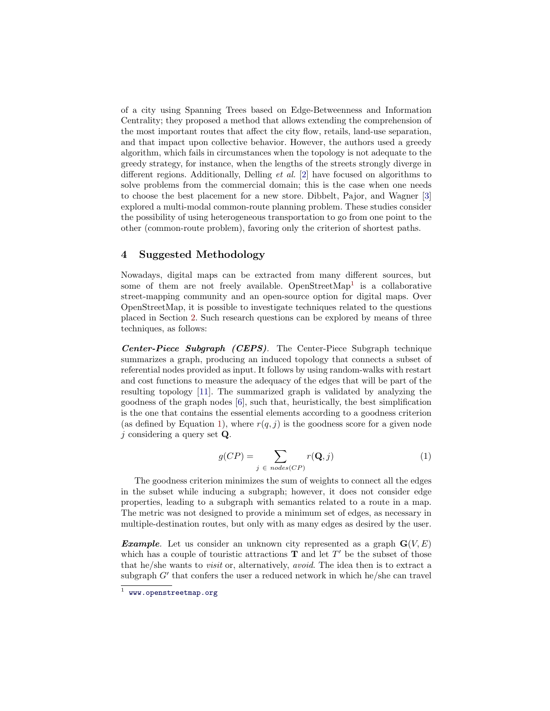of a city using Spanning Trees based on Edge-Betweenness and Information Centrality; they proposed a method that allows extending the comprehension of the most important routes that affect the city flow, retails, land-use separation, and that impact upon collective behavior. However, the authors used a greedy algorithm, which fails in circumstances when the topology is not adequate to the greedy strategy, for instance, when the lengths of the streets strongly diverge in different regions. Additionally, Delling *et al.* [\[2\]](#page-5-4) have focused on algorithms to solve problems from the commercial domain; this is the case when one needs to choose the best placement for a new store. Dibbelt, Pajor, and Wagner [\[3\]](#page-5-5) explored a multi-modal common-route planning problem. These studies consider the possibility of using heterogeneous transportation to go from one point to the other (common-route problem), favoring only the criterion of shortest paths.

## 4 Suggested Methodology

Nowadays, digital maps can be extracted from many different sources, but some of them are not freely available. OpenStreetMap<sup>[1](#page-2-0)</sup> is a collaborative street-mapping community and an open-source option for digital maps. Over OpenStreetMap, it is possible to investigate techniques related to the questions placed in Section [2.](#page-1-1) Such research questions can be explored by means of three techniques, as follows:

Center-Piece Subgraph (CEPS). The Center-Piece Subgraph technique summarizes a graph, producing an induced topology that connects a subset of referential nodes provided as input. It follows by using random-walks with restart and cost functions to measure the adequacy of the edges that will be part of the resulting topology [\[11\]](#page-5-6). The summarized graph is validated by analyzing the goodness of the graph nodes [\[6\]](#page-5-7), such that, heuristically, the best simplification is the one that contains the essential elements according to a goodness criterion (as defined by Equation [1\)](#page-2-1), where  $r(q, j)$  is the goodness score for a given node j considering a query set  $Q$ .

<span id="page-2-1"></span>
$$
g(CP) = \sum_{j \in nodes(CP)} r(\mathbf{Q}, j)
$$
 (1)

The goodness criterion minimizes the sum of weights to connect all the edges in the subset while inducing a subgraph; however, it does not consider edge properties, leading to a subgraph with semantics related to a route in a map. The metric was not designed to provide a minimum set of edges, as necessary in multiple-destination routes, but only with as many edges as desired by the user.

**Example.** Let us consider an unknown city represented as a graph  $\mathbf{G}(V, E)$ which has a couple of touristic attractions  $\mathbf T$  and let  $T'$  be the subset of those that he/she wants to visit or, alternatively, avoid. The idea then is to extract a subgraph  $G'$  that confers the user a reduced network in which he/she can travel

<span id="page-2-0"></span> $<sup>1</sup>$  <www.openstreetmap.org></sup>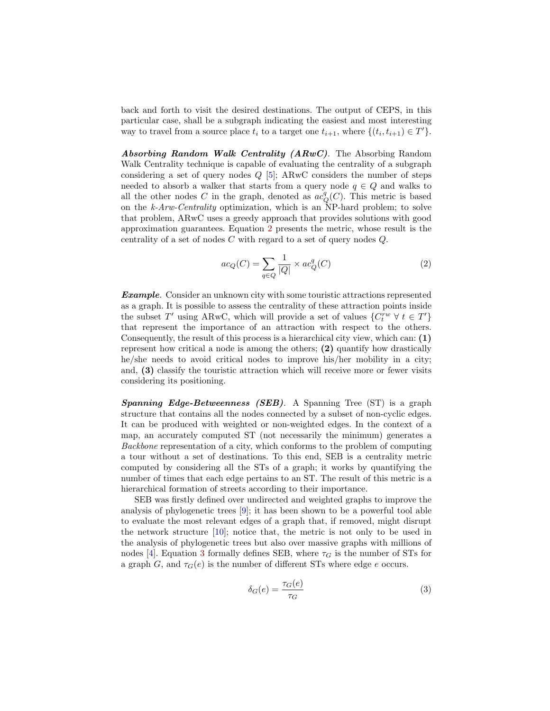back and forth to visit the desired destinations. The output of CEPS, in this particular case, shall be a subgraph indicating the easiest and most interesting way to travel from a source place  $t_i$  to a target one  $t_{i+1}$ , where  $\{(t_i, t_{i+1}) \in T'\}$ .

Absorbing Random Walk Centrality (ARwC). The Absorbing Random Walk Centrality technique is capable of evaluating the centrality of a subgraph considering a set of query nodes  $Q$  [\[5\]](#page-5-8); ARwC considers the number of steps needed to absorb a walker that starts from a query node  $q \in Q$  and walks to all the other nodes C in the graph, denoted as  $ac_q^q(C)$ . This metric is based on the k-Arw-Centrality optimization, which is an NP-hard problem; to solve that problem, ARwC uses a greedy approach that provides solutions with good approximation guarantees. Equation [2](#page-3-0) presents the metric, whose result is the centrality of a set of nodes C with regard to a set of query nodes Q.

<span id="page-3-0"></span>
$$
ac_Q(C) = \sum_{q \in Q} \frac{1}{|Q|} \times ac_Q^q(C)
$$
 (2)

**Example.** Consider an unknown city with some touristic attractions represented as a graph. It is possible to assess the centrality of these attraction points inside the subset T' using ARwC, which will provide a set of values  $\{C_t^{rw} \; \forall \; t \in T'\}$ that represent the importance of an attraction with respect to the others. Consequently, the result of this process is a hierarchical city view, which can: (1) represent how critical a node is among the others; (2) quantify how drastically he/she needs to avoid critical nodes to improve his/her mobility in a city; and, (3) classify the touristic attraction which will receive more or fewer visits considering its positioning.

Spanning Edge-Betweenness (SEB). A Spanning Tree (ST) is a graph structure that contains all the nodes connected by a subset of non-cyclic edges. It can be produced with weighted or non-weighted edges. In the context of a map, an accurately computed ST (not necessarily the minimum) generates a Backbone representation of a city, which conforms to the problem of computing a tour without a set of destinations. To this end, SEB is a centrality metric computed by considering all the STs of a graph; it works by quantifying the number of times that each edge pertains to an ST. The result of this metric is a hierarchical formation of streets according to their importance.

SEB was firstly defined over undirected and weighted graphs to improve the analysis of phylogenetic trees [\[9\]](#page-5-9); it has been shown to be a powerful tool able to evaluate the most relevant edges of a graph that, if removed, might disrupt the network structure [\[10\]](#page-5-10); notice that, the metric is not only to be used in the analysis of phylogenetic trees but also over massive graphs with millions of nodes [\[4\]](#page-5-11). Equation [3](#page-3-1) formally defines SEB, where  $\tau_G$  is the number of STs for a graph G, and  $\tau_G(e)$  is the number of different STs where edge e occurs.

<span id="page-3-1"></span>
$$
\delta_G(e) = \frac{\tau_G(e)}{\tau_G} \tag{3}
$$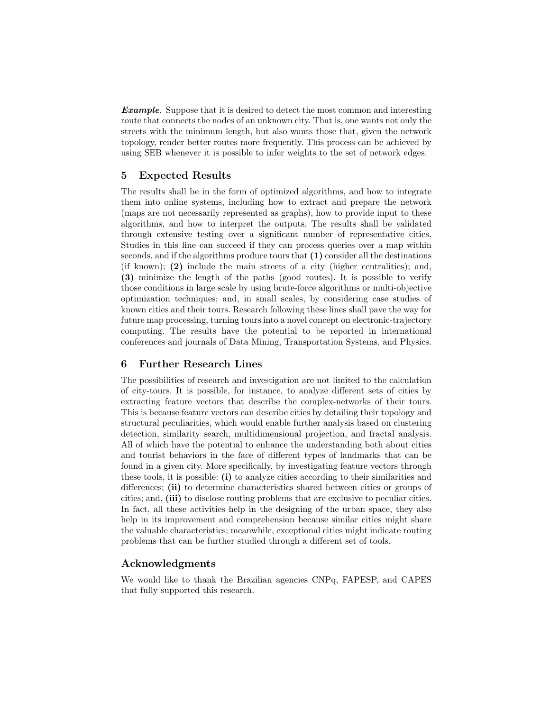**Example.** Suppose that it is desired to detect the most common and interesting route that connects the nodes of an unknown city. That is, one wants not only the streets with the minimum length, but also wants those that, given the network topology, render better routes more frequently. This process can be achieved by using SEB whenever it is possible to infer weights to the set of network edges.

# 5 Expected Results

The results shall be in the form of optimized algorithms, and how to integrate them into online systems, including how to extract and prepare the network (maps are not necessarily represented as graphs), how to provide input to these algorithms, and how to interpret the outputs. The results shall be validated through extensive testing over a significant number of representative cities. Studies in this line can succeed if they can process queries over a map within seconds, and if the algorithms produce tours that (1) consider all the destinations (if known); (2) include the main streets of a city (higher centralities); and, (3) minimize the length of the paths (good routes). It is possible to verify those conditions in large scale by using brute-force algorithms or multi-objective optimization techniques; and, in small scales, by considering case studies of known cities and their tours. Research following these lines shall pave the way for future map processing, turning tours into a novel concept on electronic-trajectory computing. The results have the potential to be reported in international conferences and journals of Data Mining, Transportation Systems, and Physics.

## 6 Further Research Lines

The possibilities of research and investigation are not limited to the calculation of city-tours. It is possible, for instance, to analyze different sets of cities by extracting feature vectors that describe the complex-networks of their tours. This is because feature vectors can describe cities by detailing their topology and structural peculiarities, which would enable further analysis based on clustering detection, similarity search, multidimensional projection, and fractal analysis. All of which have the potential to enhance the understanding both about cities and tourist behaviors in the face of different types of landmarks that can be found in a given city. More specifically, by investigating feature vectors through these tools, it is possible: (i) to analyze cities according to their similarities and differences; (ii) to determine characteristics shared between cities or groups of cities; and, (iii) to disclose routing problems that are exclusive to peculiar cities. In fact, all these activities help in the designing of the urban space, they also help in its improvement and comprehension because similar cities might share the valuable characteristics; meanwhile, exceptional cities might indicate routing problems that can be further studied through a different set of tools.

#### Acknowledgments

We would like to thank the Brazilian agencies CNPq, FAPESP, and CAPES that fully supported this research.